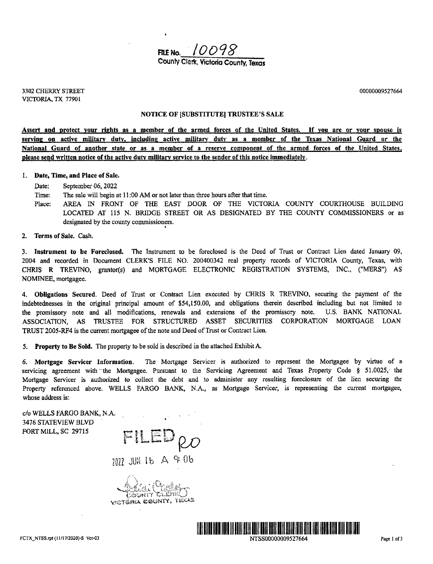

3302 CHERRY STREET 00000009527664 VICTORIA, TX 77901

## NOTICE OF [SUBSTITUTE] TRUSTEE'S SALE

Assert and protect your rights as a member of the armed forces of the United States. If you are or your spouse is serving on active military duty, including active military duty as a member of the Texas National Guard or the National Guard of another state or as <sup>a</sup> member of <sup>a</sup> reserve component of the armed forces of the United States, please send written notice of the active duty military service to the sender of this notice immediately.

#### 1. Date, Time, and Place of Sale.

Date: September 06, 2022

- Time: The sale will begin at 11:00 AM or not later than three hours after that time.
- Place: AREA IN FRONT OF THE EAST DOOR OF THE VICTORIA COUNTY COURTHOUSE BUILDING LOCATED AT 115 N. BRIDGE STREET OR AS DESIGNATED BY THE COUNTY COMMISSIONERS or as designated by the county commissioners.
- 2. Terms of Sale. Cash.

3. Instrument to be Foreclosed. The Instrument to be foreclosed is the Deed of Trust or Contract Lien dated January 09, 2004 and recorded in Document CLERK'S FILE NO. 200400342 real property records of VICTORIA County, Texas, with CHRIS R TREVINO, grantor(s) and MORTGAGE ELECTRONIC REGISTRATION SYSTEMS, INC., ("MERS") AS NOMINEE, mortgagee.

4. Obligations Secured. Deed of Trust or Contract Lien executed by CHRIS R TREVINO, securing the payment of the indebtednesses in the original principal amount of \$54,150.00, and obligations therein described including but not limited to the promissory note and all modifications, renewals and extensions of the promissory note. U.S. BANK NATIONAL ASSOCIATION, AS TRUSTEE FOR STRUCTURED ASSET SECURITIES CORPORATION MORTGAGE LOAN TRUST 2005- RF4 is the current mortgagee of the note and Deed of Trust or Contract Lien.

5. Property to Be Sold. The property to be sold is described in the attached Exhibit A.

6. Mortgage Servicer Information. The Mortgage Servicer is authorized to represent the Mortgagee by virtue of <sup>a</sup> servicing agreement with the Mortgagee. Pursuant to the Servicing Agreement and Texas Property Code § 51.0025, the Mortgage Servicer is authorized to collect the debt and to administer any resulting foreclosure of the lien securing the Property referenced above. WELLS FARGO BANK, N.A., as Mortgage Servicer, is representing the current mortgagee, whose address is:

c/o WELLS FARGO BANK, N.A. 3476 STATEVIEW BLVD FORT MILL, SC 29715

r. 1. ' r"°' t t pio

7077 JUN 16 A & Ob

 $\mathbb{C}$  , and  $\mathcal{C}$  . In the set of  $\mathcal{C}$  $\dot{\rm g}$ rva County, text

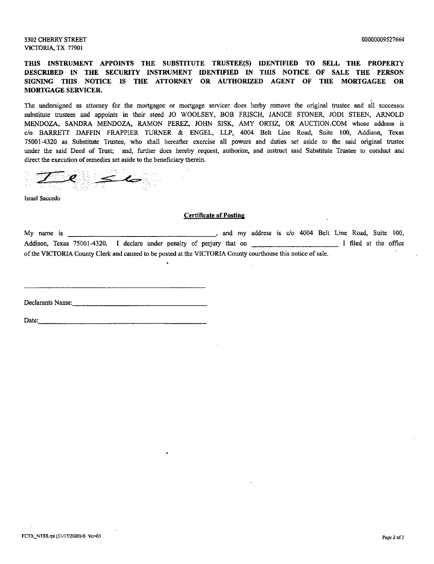## 3302 CHERRY STREET 00000009527664 VICTORIA, TX 77901

# THIS INSTRUMENT APPOINTS THE SUBSTITUTE TRUSTEE(S) IDENTIFIED TO SELL THE PROPERTY DESCRIBED IN THE SECURITY INSTRUMENT IDENTIFIED IN THIS NOTICE OF SALE THE PERSON SIGNING THIS NOTICE IS THE ATTORNEY OR AUTHORIZED AGENT OF THE MORTGAGEE OR MORTGAGE SERVICER.

The undersigned as attorney for the mortgagee or mortgage servicer does herby remove the original trustee and all successor substitute trustees and appoints in their steed JO WOOLSEY, BOB FRISCH, JANICE STONER, JODI STEEN, ARNOLD MENDOZA, SANDRA MENDOZA, RAMON PEREZ, JOHN SISK, AMY ORTIZ, OR AUCTION. COM whose address is c/o BARRETT DAFFIN FRAPPIER TURNER & ENGEL, LLP, 4004 Belt Line Road, Suite 100, Addison, Texas 75001- 4320 as Substitute Trustee, who shall hereafter exercise all powers and duties set aside to the said original trustee under the said Deed of Trust; and, further does hereby request, authorize, and instruct said Substitute Trustee to conduct and direct the execution of remedies set aside to the beneficiary therein.

Israel Saucedo

### Certificate of Posting

My name is  $\frac{1}{\sqrt{1-\frac{1}{\sqrt{1-\frac{1}{\sqrt{1-\frac{1}{\sqrt{1-\frac{1}{\sqrt{1-\frac{1}{\sqrt{1-\frac{1}{\sqrt{1-\frac{1}{\sqrt{1-\frac{1}{\sqrt{1-\frac{1}{\sqrt{1-\frac{1}{\sqrt{1-\frac{1}{\sqrt{1-\frac{1}{\sqrt{1-\frac{1}{\sqrt{1-\frac{1}{\sqrt{1-\frac{1}{\sqrt{1-\frac{1}{\sqrt{1-\frac{1}{\sqrt{1-\frac{1}{\sqrt{1-\frac{1}{\sqrt{1-\frac{1}{\sqrt{1-\frac{1}{\sqrt{1-\frac{1}{\sqrt{1-\frac$ Addison, Texas 75001-4320. I declare under penalty of perjury that on I filed at the office of the VICTORIA County Clerk and caused to be posted at the VICTORIA County courthouse this notice of sale.

Declarants Name:

Date: